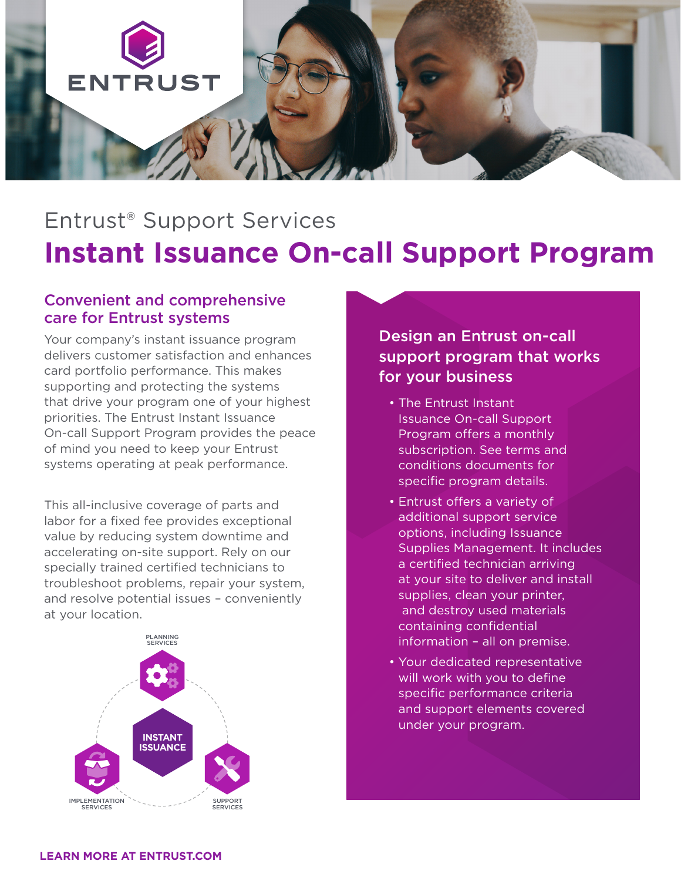

## Entrust® Support Services **Instant Issuance On-call Support Program**

## Convenient and comprehensive care for Entrust systems

Your company's instant issuance program delivers customer satisfaction and enhances card portfolio performance. This makes supporting and protecting the systems that drive your program one of your highest priorities. The Entrust Instant Issuance On-call Support Program provides the peace of mind you need to keep your Entrust systems operating at peak performance.

This all-inclusive coverage of parts and labor for a fixed fee provides exceptional value by reducing system downtime and accelerating on-site support. Rely on our specially trained certified technicians to troubleshoot problems, repair your system, and resolve potential issues – conveniently at your location.



Design an Entrust on-call support program that works for your business

- The Entrust Instant Issuance On-call Support Program offers a monthly subscription. See terms and conditions documents for specific program details.
- Entrust offers a variety of additional support service options, including Issuance Supplies Management. It includes a certified technician arriving at your site to deliver and install supplies, clean your printer, and destroy used materials containing confidential information – all on premise.
- Your dedicated representative will work with you to define specific performance criteria and support elements covered under your program.